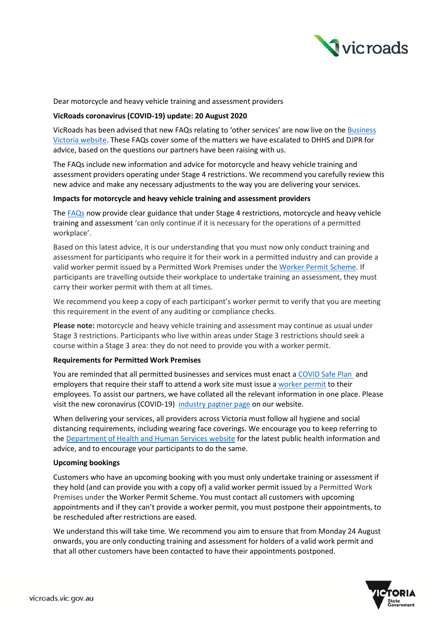

## Dear motorcycle and heavy vehicle training and assessment providers

## **VicRoads coronavirus (COVID-19) update: 20 August 2020**

VicRoads has been advised that new FAQs relating to 'other services' are now live on the Business Victoria website. These FAQs cover some of the matters we have escalated to DHHS and DJPR for advice, based on the questions our partners have been raising with us.

The FAQs include new information and advice for motorcycle and heavy vehicle training and assessment providers operating under Stage 4 restrictions. We recommend you carefully review this new advice and make any necessary adjustments to the way you are delivering your services.

### **Impacts for motorcycle and heavy vehicle training and assessment providers**

The FAQs now provide clear guidance that under Stage 4 restrictions, motorcycle and heavy vehicle training and assessment 'can only continue if it is necessary for the operations of a permitted workplace'.

Based on this latest advice, it is our understanding that you must now only conduct training and assessment for participants who require it for their work in a permitted industry and can provide a valid worker permit issued by a Permitted Work Premises under the Worker Permit Scheme. If participants are travelling outside their workplace to undertake training an assessment, they must carry their worker permit with them at all times.

We recommend you keep a copy of each participant's worker permit to verify that you are meeting this requirement in the event of any auditing or compliance checks.

**Please note:** motorcycle and heavy vehicle training and assessment may continue as usual under Stage 3 restrictions. Participants who live within areas under Stage 3 restrictions should seek a course within a Stage 3 area: they do not need to provide you with a worker permit.

### **Requirements for Permitted Work Premises**

You are reminded that all permitted businesses and services must enact a COVID Safe Plan and employers that require their staff to attend a work site must issue a worker permit to their employees. To assist our partners, we have collated all the relevant information in one place. Please visit the new coronavirus (COVID-19) industry partner page on our website.

When delivering your services, all providers across Victoria must follow all hygiene and social distancing requirements, including wearing face coverings. We encourage you to keep referring to the Department of Health and Human Services website for the latest public health information and advice, and to encourage your participants to do the same.

### **Upcoming bookings**

Customers who have an upcoming booking with you must only undertake training or assessment if they hold (and can provide you with a copy of) a valid worker permit issued by a Permitted Work Premises under the Worker Permit Scheme. You must contact all customers with upcoming appointments and if they can't provide a worker permit, you must postpone their appointments, to be rescheduled after restrictions are eased.

We understand this will take time. We recommend you aim to ensure that from Monday 24 August onwards, you are only conducting training and assessment for holders of a valid work permit and that all other customers have been contacted to have their appointments postponed.